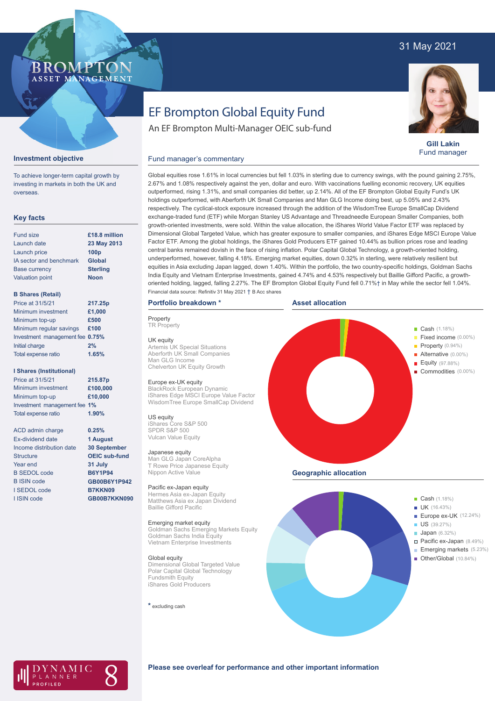## 31 May 2021

### BROMP ASSET MANAGEMENT

# EF Brompton Global Equity Fund

An EF Brompton Multi-Manager OEIC sub-fund



**Gill Lakin** Fund manager

#### Fund manager's commentary



To achieve longer-term capital growth by investing in markets in both the UK and overseas.

#### **Key facts**

| <b>Fund size</b>        | £18.8 million    |
|-------------------------|------------------|
| Launch date             | 23 May 2013      |
| Launch price            | 100 <sub>p</sub> |
| IA sector and benchmark | <b>Global</b>    |
| <b>Base currency</b>    | <b>Sterling</b>  |
| <b>Valuation point</b>  | <b>Noon</b>      |
|                         |                  |

#### **B Shares (Retail)**

| Price at 31/5/21                | 217.25p |
|---------------------------------|---------|
| Minimum investment              | £1,000  |
| Minimum top-up                  | £500    |
| Minimum regular savings         | £100    |
| Investment management fee 0.75% |         |
| Initial charge                  | 2%      |
| Total expense ratio             | 1.65%   |
|                                 |         |

#### **I Shares (Institutional)**

| Price at 31/5/21             | 215.87p  |
|------------------------------|----------|
| Minimum investment           | £100,000 |
| Minimum top-up               | £10,000  |
| Investment management fee 1% |          |
| <b>Total expense ratio</b>   | 1.90%    |

ACD admin charge Ex-dividend date Income distribution date **Structure** Year end B SEDOL code B ISIN code I SEDOL code I ISIN code

**0.25% 1 August 30 September OEIC sub-fund 31 July B6Y1P94 GB00B6Y1P942 B7KKN09 GB00B7KKN090**

outperformed, rising 1.31%, and small companies did better, up 2.14%. All of the EF Brompton Global Equity Fund's UK holdings outperformed, with Aberforth UK Small Companies and Man GLG Income doing best, up 5.05% and 2.43% respectively. The cyclical-stock exposure increased through the addition of the WisdomTree Europe SmallCap Dividend exchange-traded fund (ETF) while Morgan Stanley US Advantage and Threadneedle European Smaller Companies, both growth-oriented investments, were sold. Within the value allocation, the iShares World Value Factor ETF was replaced by Dimensional Global Targeted Value, which has greater exposure to smaller companies, and iShares Edge MSCI Europe Value Factor ETF. Among the global holdings, the iShares Gold Producers ETF gained 10.44% as bullion prices rose and leading central banks remained dovish in the face of rising inflation. Polar Capital Global Technology, a growth-oriented holding, underperformed, however, falling 4.18%. Emerging market equities, down 0.32% in sterling, were relatively resilient but equities in Asia excluding Japan lagged, down 1.40%. Within the portfolio, the two country-specific holdings, Goldman Sachs India Equity and Vietnam Enterprise Investments, gained 4.74% and 4.53% respectively but Baillie Gifford Pacific, a growthoriented holding, lagged, falling 2.27%. The EF Brompton Global Equity Fund fell 0.71%† in May while the sector fell 1.04%. Financial data source: Refinitiv 31 May 2021 † B Acc shares

Global equities rose 1.61% in local currencies but fell 1.03% in sterling due to currency swings, with the pound gaining 2.75%, 2.67% and 1.08% respectively against the yen, dollar and euro. With vaccinations fuelling economic recovery, UK equities

#### **Portfolio breakdown \***

**Property TR Property** 

UK equity Artemis UK Special Situations Aberforth UK Small Companies Man GLG Income Chelverton UK Equity Growth

#### Europe ex-UK equity

BlackRock European Dynamic iShares Edge MSCI Europe Value Factor WisdomTree Europe SmallCap Dividend

#### US equity

iShares Core S&P 500 SPDR S&P 500 Vulcan Value Equity

#### Japanese equity

Man GLG Japan CoreAlpha T Rowe Price Japanese Equity Nippon Active Value

#### Pacific ex-Japan equity

Hermes Asia ex-Japan Equity Matthews Asia ex Japan Dividend Baillie Gifford Pacific

#### Emerging market equity

Goldman Sachs Emerging Markets Equity Goldman Sachs India Equity Vietnam Enterprise Investments

#### Global equity

Dimensional Global Targeted Value Polar Capital Global Technology Fundsmith Equity iShares Gold Producers

**\*** excluding cash







#### **Please see overleaf for performance and other important information**